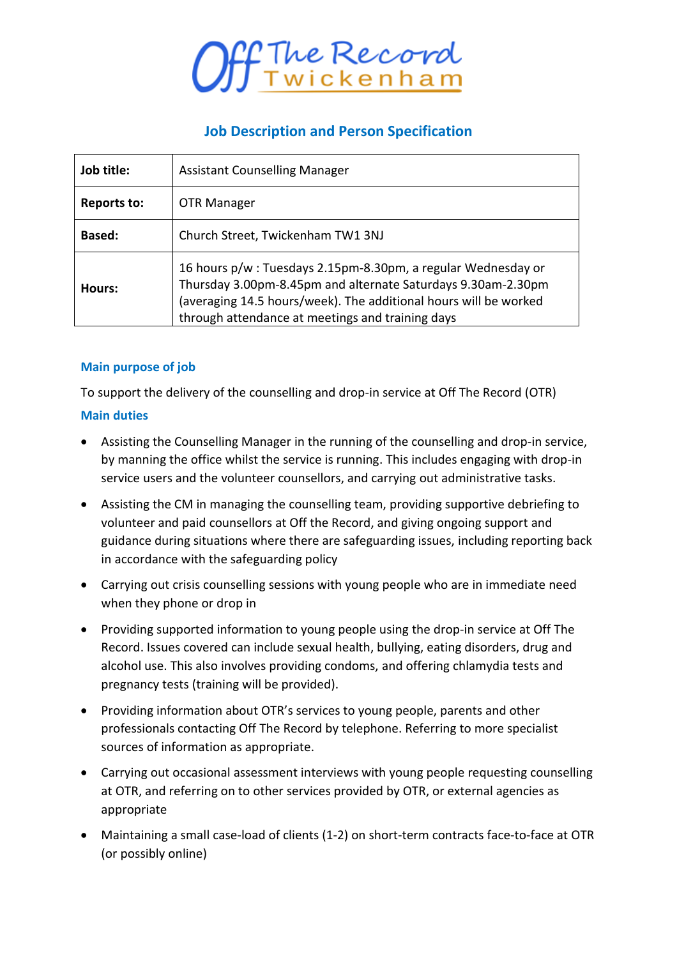

# **Job Description and Person Specification**

| Job title:  | <b>Assistant Counselling Manager</b>                                                                                                                                                                                                                 |
|-------------|------------------------------------------------------------------------------------------------------------------------------------------------------------------------------------------------------------------------------------------------------|
| Reports to: | OTR Manager                                                                                                                                                                                                                                          |
| Based:      | Church Street, Twickenham TW1 3NJ                                                                                                                                                                                                                    |
| Hours:      | 16 hours p/w: Tuesdays 2.15pm-8.30pm, a regular Wednesday or<br>Thursday 3.00pm-8.45pm and alternate Saturdays 9.30am-2.30pm<br>(averaging 14.5 hours/week). The additional hours will be worked<br>through attendance at meetings and training days |

### **Main purpose of job**

To support the delivery of the counselling and drop-in service at Off The Record (OTR)

#### **Main duties**

- Assisting the Counselling Manager in the running of the counselling and drop-in service, by manning the office whilst the service is running. This includes engaging with drop-in service users and the volunteer counsellors, and carrying out administrative tasks.
- Assisting the CM in managing the counselling team, providing supportive debriefing to volunteer and paid counsellors at Off the Record, and giving ongoing support and guidance during situations where there are safeguarding issues, including reporting back in accordance with the safeguarding policy
- Carrying out crisis counselling sessions with young people who are in immediate need when they phone or drop in
- Providing supported information to young people using the drop-in service at Off The Record. Issues covered can include sexual health, bullying, eating disorders, drug and alcohol use. This also involves providing condoms, and offering chlamydia tests and pregnancy tests (training will be provided).
- Providing information about OTR's services to young people, parents and other professionals contacting Off The Record by telephone. Referring to more specialist sources of information as appropriate.
- Carrying out occasional assessment interviews with young people requesting counselling at OTR, and referring on to other services provided by OTR, or external agencies as appropriate
- Maintaining a small case-load of clients (1-2) on short-term contracts face-to-face at OTR (or possibly online)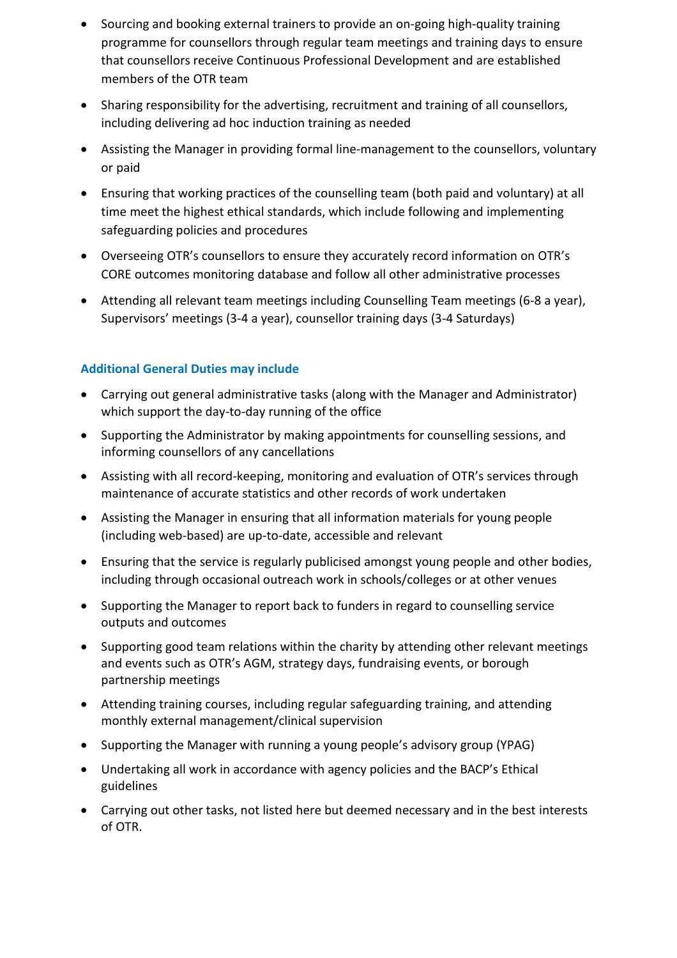- Sourcing and booking external trainers to provide an on-going high-quality training programme for counsellors through regular team meetings and training days to ensure that counsellors receive Continuous Professional Development and are established members of the OTR team
- Sharing responsibility for the advertising, recruitment and training of all counsellors, including delivering ad hoc induction training as needed
- Assisting the Manager in providing formal line-management to the counsellors, voluntary or paid
- Ensuring that working practices of the counselling team (both paid and voluntary) at all time meet the highest ethical standards, which include following and implementing safeguarding policies and procedures
- Overseeing OTR's counsellors to ensure they accurately record information on OTR's CORE outcomes monitoring database and follow all other administrative processes
- Attending all relevant team meetings including Counselling Team meetings (6-8 a year), Supervisors' meetings (3-4 a year), counsellor training days (3-4 Saturdays)

## **Additional General Duties may include**

- Carrying out general administrative tasks (along with the Manager and Administrator) which support the day-to-day running of the office
- Supporting the Administrator by making appointments for counselling sessions, and informing counsellors of any cancellations
- Assisting with all record-keeping, monitoring and evaluation of OTR's services through maintenance of accurate statistics and other records of work undertaken
- Assisting the Manager in ensuring that all information materials for young people (including web-based) are up-to-date, accessible and relevant
- Ensuring that the service is regularly publicised amongst young people and other bodies, including through occasional outreach work in schools/colleges or at other venues
- Supporting the Manager to report back to funders in regard to counselling service outputs and outcomes
- Supporting good team relations within the charity by attending other relevant meetings and events such as OTR's AGM, strategy days, fundraising events, or borough partnership meetings
- Attending training courses, including regular safeguarding training, and attending monthly external management/clinical supervision
- Supporting the Manager with running a young people's advisory group (YPAG)
- Undertaking all work in accordance with agency policies and the BACP's Ethical guidelines
- Carrying out other tasks, not listed here but deemed necessary and in the best interests of OTR.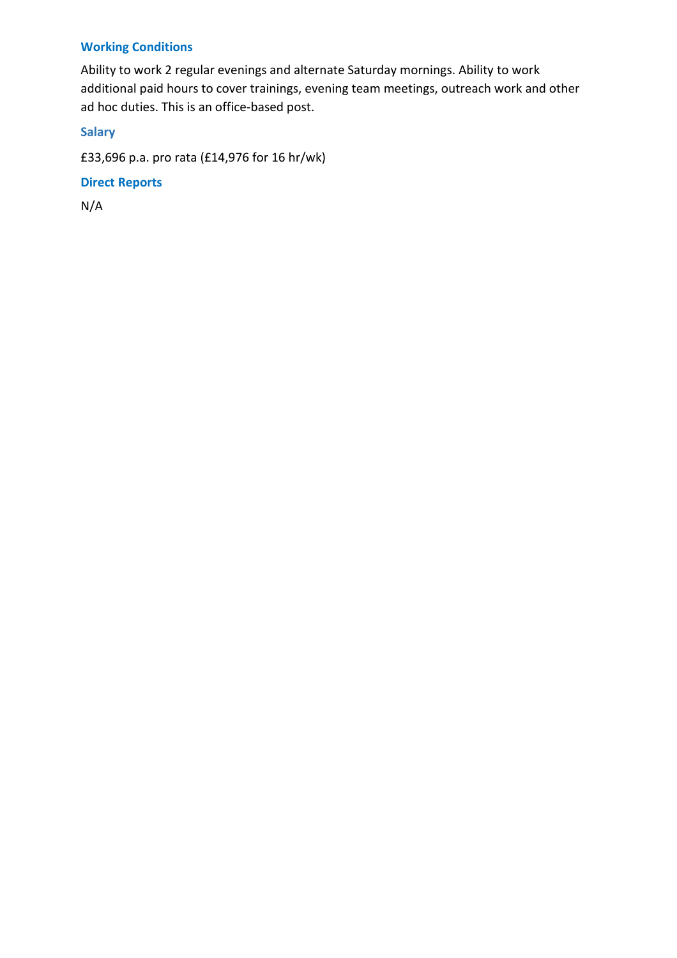# **Working Conditions**

Ability to work 2 regular evenings and alternate Saturday mornings. Ability to work additional paid hours to cover trainings, evening team meetings, outreach work and other ad hoc duties. This is an office-based post.

### **Salary**

£33,696 p.a. pro rata (£14,976 for 16 hr/wk)

#### **Direct Reports**

N/A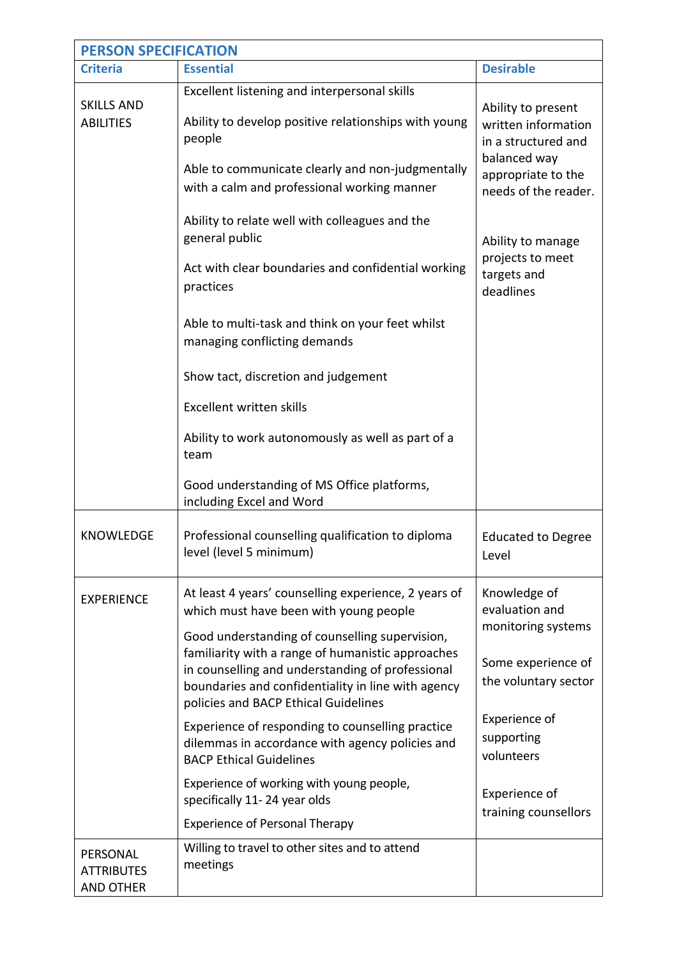| <b>PERSON SPECIFICATION</b>                       |                                                                                                                                                                                                                                                       |                                                                                  |  |  |
|---------------------------------------------------|-------------------------------------------------------------------------------------------------------------------------------------------------------------------------------------------------------------------------------------------------------|----------------------------------------------------------------------------------|--|--|
| <b>Criteria</b>                                   | <b>Essential</b>                                                                                                                                                                                                                                      | <b>Desirable</b>                                                                 |  |  |
| <b>SKILLS AND</b><br><b>ABILITIES</b>             | Excellent listening and interpersonal skills<br>Ability to develop positive relationships with young<br>people<br>Able to communicate clearly and non-judgmentally                                                                                    | Ability to present<br>written information<br>in a structured and<br>balanced way |  |  |
|                                                   | with a calm and professional working manner                                                                                                                                                                                                           | appropriate to the<br>needs of the reader.                                       |  |  |
|                                                   | Ability to relate well with colleagues and the<br>general public                                                                                                                                                                                      | Ability to manage                                                                |  |  |
|                                                   | Act with clear boundaries and confidential working<br>practices                                                                                                                                                                                       | projects to meet<br>targets and<br>deadlines                                     |  |  |
|                                                   | Able to multi-task and think on your feet whilst<br>managing conflicting demands                                                                                                                                                                      |                                                                                  |  |  |
|                                                   | Show tact, discretion and judgement                                                                                                                                                                                                                   |                                                                                  |  |  |
|                                                   | Excellent written skills                                                                                                                                                                                                                              |                                                                                  |  |  |
|                                                   | Ability to work autonomously as well as part of a<br>team                                                                                                                                                                                             |                                                                                  |  |  |
|                                                   | Good understanding of MS Office platforms,<br>including Excel and Word                                                                                                                                                                                |                                                                                  |  |  |
| <b>KNOWLEDGE</b>                                  | Professional counselling qualification to diploma<br>level (level 5 minimum)                                                                                                                                                                          | <b>Educated to Degree</b><br>Level                                               |  |  |
| <b>EXPERIENCE</b>                                 | At least 4 years' counselling experience, 2 years of<br>which must have been with young people                                                                                                                                                        | Knowledge of<br>evaluation and                                                   |  |  |
|                                                   | Good understanding of counselling supervision,<br>familiarity with a range of humanistic approaches<br>in counselling and understanding of professional<br>boundaries and confidentiality in line with agency<br>policies and BACP Ethical Guidelines | monitoring systems<br>Some experience of<br>the voluntary sector                 |  |  |
|                                                   | Experience of responding to counselling practice<br>dilemmas in accordance with agency policies and<br><b>BACP Ethical Guidelines</b>                                                                                                                 | Experience of<br>supporting<br>volunteers                                        |  |  |
|                                                   | Experience of working with young people,<br>specifically 11-24 year olds                                                                                                                                                                              | Experience of<br>training counsellors                                            |  |  |
|                                                   | <b>Experience of Personal Therapy</b>                                                                                                                                                                                                                 |                                                                                  |  |  |
| PERSONAL<br><b>ATTRIBUTES</b><br><b>AND OTHER</b> | Willing to travel to other sites and to attend<br>meetings                                                                                                                                                                                            |                                                                                  |  |  |